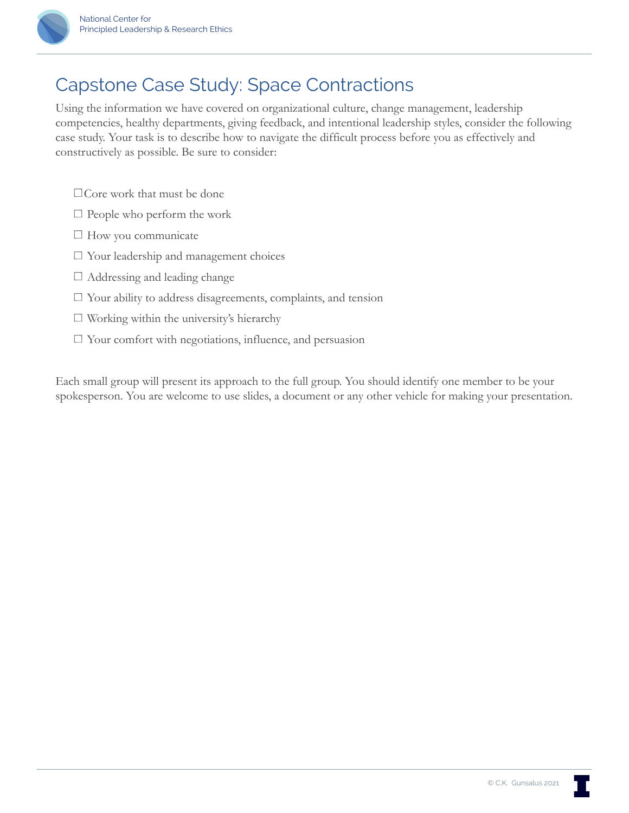

## Capstone Case Study: Space Contractions

Using the information we have covered on organizational culture, change management, leadership competencies, healthy departments, giving feedback, and intentional leadership styles, consider the following case study. Your task is to describe how to navigate the difficult process before you as effectively and constructively as possible. Be sure to consider:

- Core work that must be done
- $\Box$  People who perform the work
- $\Box$  How you communicate
- Your leadership and management choices
- $\Box$  Addressing and leading change
- $\Box$  Your ability to address disagreements, complaints, and tension
- $\Box$  Working within the university's hierarchy
- $\Box$  Your comfort with negotiations, influence, and persuasion

Each small group will present its approach to the full group. You should identify one member to be your spokesperson. You are welcome to use slides, a document or any other vehicle for making your presentation.